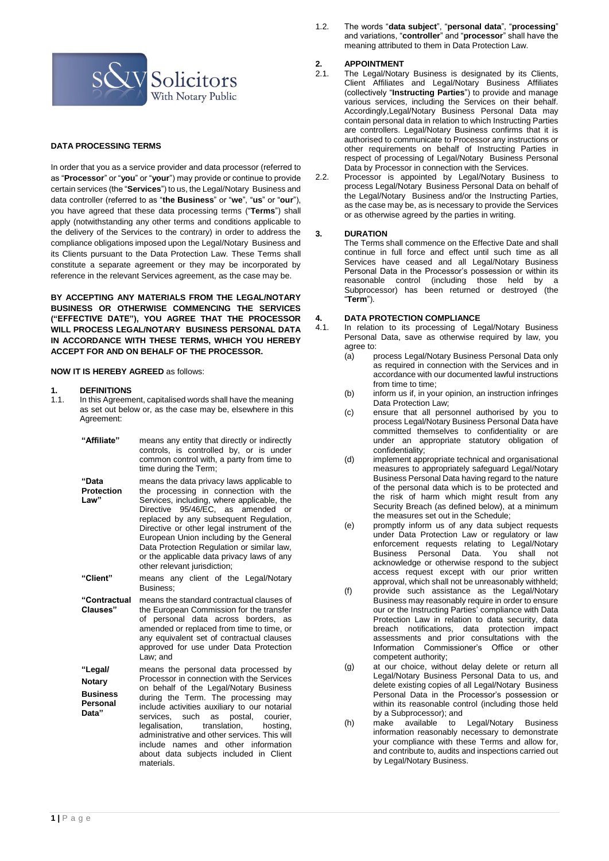

### **DATA PROCESSING TERMS**

In order that you as a service provider and data processor (referred to as "**Processor**" or "**you**" or "**your**") may provide or continue to provide certain services (the "**Services**") to us, the Legal/Notary Business and data controller (referred to as "**the Business**" or "**we**", "**us**" or "**our**"), you have agreed that these data processing terms ("**Terms**") shall apply (notwithstanding any other terms and conditions applicable to the delivery of the Services to the contrary) in order to address the compliance obligations imposed upon the Legal/Notary Business and its Clients pursuant to the Data Protection Law. These Terms shall constitute a separate agreement or they may be incorporated by reference in the relevant Services agreement, as the case may be.

**BY ACCEPTING ANY MATERIALS FROM THE LEGAL/NOTARY BUSINESS OR OTHERWISE COMMENCING THE SERVICES ("EFFECTIVE DATE"), YOU AGREE THAT THE PROCESSOR WILL PROCESS LEGAL/NOTARY BUSINESS PERSONAL DATA IN ACCORDANCE WITH THESE TERMS, WHICH YOU HEREBY ACCEPT FOR AND ON BEHALF OF THE PROCESSOR.**

#### **NOW IT IS HEREBY AGREED** as follows:

# **1. DEFINITIONS**

In this Agreement, capitalised words shall have the meaning as set out below or, as the case may be, elsewhere in this Agreement:

| "Affiliate"                          | means any entity that directly or indirectly<br>controls, is controlled by, or is under<br>common control with, a party from time to<br>time during the Term;                                                                                                                                                                                                                                                                        |
|--------------------------------------|--------------------------------------------------------------------------------------------------------------------------------------------------------------------------------------------------------------------------------------------------------------------------------------------------------------------------------------------------------------------------------------------------------------------------------------|
| "Data<br><b>Protection</b><br>Law"   | means the data privacy laws applicable to<br>the processing in connection with the<br>Services, including, where applicable, the<br>Directive 95/46/EC, as amended or<br>replaced by any subsequent Regulation,<br>Directive or other legal instrument of the<br>European Union including by the General<br>Data Protection Regulation or similar law,<br>or the applicable data privacy laws of any<br>other relevant jurisdiction; |
| "Client"                             | means any client of the Legal/Notary<br>Business:                                                                                                                                                                                                                                                                                                                                                                                    |
| "Contractual<br>Clauses"             | means the standard contractual clauses of<br>the European Commission for the transfer<br>of personal data across borders, as<br>amended or replaced from time to time, or<br>any equivalent set of contractual clauses<br>approved for use under Data Protection<br>Law: and                                                                                                                                                         |
| "Legal/<br><b>Notary</b>             | means the personal data processed by<br>Processor in connection with the Services                                                                                                                                                                                                                                                                                                                                                    |
| <b>Business</b><br>Personal<br>Data" | on behalf of the Legal/Notary Business<br>during the Term. The processing may<br>include activities auxiliary to our notarial<br>services, such as<br>postal,<br>courier.<br>translation,<br>legalisation,<br>hosting,<br>administrative and other services. This will<br>include names and other information<br>about data subjects included in Client<br>materials.                                                                |

1.2. The words "**data subject**", "**personal data**", "**processing**" and variations, "**controller**" and "**processor**" shall have the meaning attributed to them in Data Protection Law.

# 2. **APPOINTMENT**<br>2.1. The Legal/Notar

- The Legal/Notary Business is designated by its Clients, Client Affiliates and Legal/Notary Business Affiliates (collectively "**Instructing Parties**") to provide and manage various services, including the Services on their behalf. Accordingly,Legal/Notary Business Personal Data may contain personal data in relation to which Instructing Parties are controllers. Legal/Notary Business confirms that it is authorised to communicate to Processor any instructions or other requirements on behalf of Instructing Parties in respect of processing of Legal/Notary Business Personal Data by Processor in connection with the Services.
- 2.2. Processor is appointed by Legal/Notary Business to process Legal/Notary Business Personal Data on behalf of the Legal/Notary Business and/or the Instructing Parties, as the case may be, as is necessary to provide the Services or as otherwise agreed by the parties in writing.

#### **3. DURATION**

The Terms shall commence on the Effective Date and shall continue in full force and effect until such time as all Services have ceased and all Legal/Notary Business Personal Data in the Processor's possession or within its reasonable control (including those held by a Subprocessor) has been returned or destroyed (the "**Term**").

# **4. DATA PROTECTION COMPLIANCE**

- In relation to its processing of Legal/Notary Business Personal Data, save as otherwise required by law, you agree to:
	- (a) process Legal/Notary Business Personal Data only as required in connection with the Services and in accordance with our documented lawful instructions from time to time:
	- (b) inform us if, in your opinion, an instruction infringes Data Protection Law;
	- (c) ensure that all personnel authorised by you to process Legal/Notary Business Personal Data have committed themselves to confidentiality or are under an appropriate statutory obligation of confidentiality;
	- (d) implement appropriate technical and organisational measures to appropriately safeguard Legal/Notary Business Personal Data having regard to the nature of the personal data which is to be protected and the risk of harm which might result from any Security Breach (as defined below), at a minimum the measures set out in the Schedule;
	- (e) promptly inform us of any data subject requests under Data Protection Law or regulatory or law enforcement requests relating to Legal/Notary Business Personal Data. You shall not acknowledge or otherwise respond to the subject access request except with our prior written approval, which shall not be unreasonably withheld;
	- (f) provide such assistance as the Legal/Notary Business may reasonably require in order to ensure our or the Instructing Parties' compliance with Data Protection Law in relation to data security, data breach notifications, data protection impact assessments and prior consultations with the Information Commissioner's Office or other competent authority;
	- (g) at our choice, without delay delete or return all Legal/Notary Business Personal Data to us, and delete existing copies of all Legal/Notary Business Personal Data in the Processor's possession or within its reasonable control (including those held by a Subprocessor); and
	- (h) make available to Legal/Notary Business information reasonably necessary to demonstrate your compliance with these Terms and allow for, and contribute to, audits and inspections carried out by Legal/Notary Business.